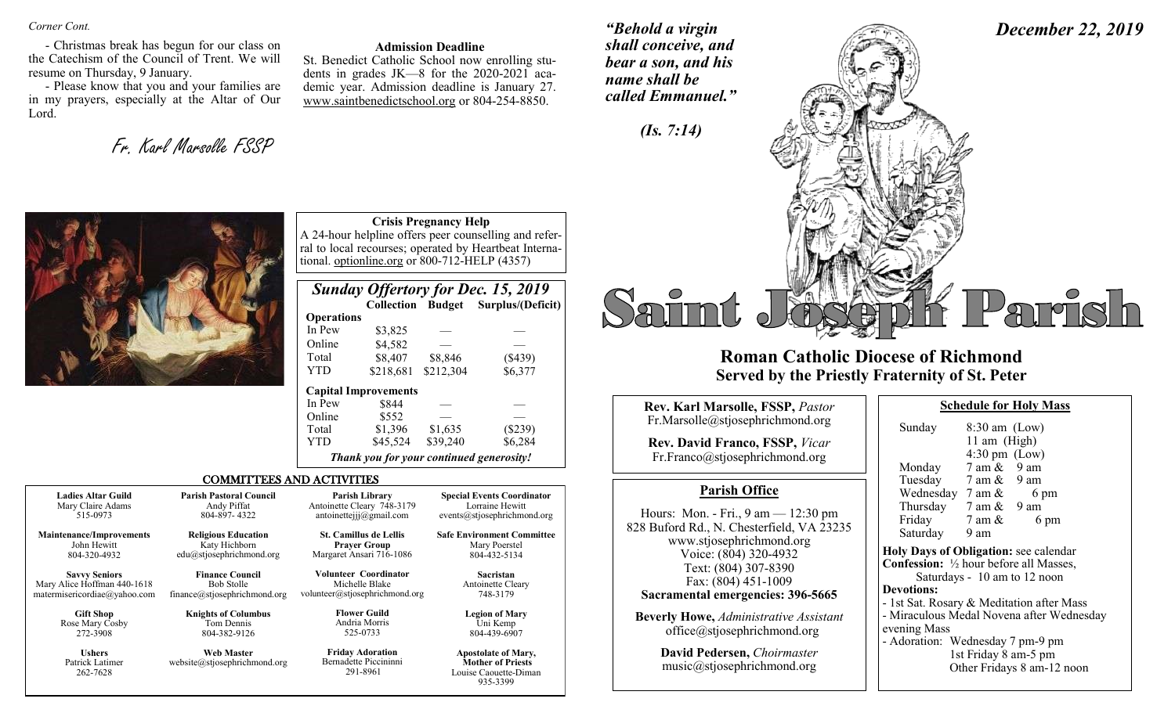*Corner Cont.* 

- Christmas break has begun for our class on the Catechism of the Council of Trent. We will resume on Thursday, 9 January.

- Please know that you and your families are in my prayers, especially at the Altar of Our Lord.

Fr. Karl Marsolle FSSP

#### **Admission Deadline**

St. Benedict Catholic School now enrolling students in grades JK—8 for the 2020-2021 academic year. Admission deadline is January 27. www.saintbenedictschool.org or 804-254-8850.

**Crisis Pregnancy Help**

*Sunday Offertory for Dec. 15, 2019* 

Total \$8,407 \$8,846 (\$439) YTD \$218,681 \$212,304 \$6,377

 $$3,825$ 

 **Collection Budget Surplus/(Deficit)**

*"Behold a virgin shall conceive, and bear a son, and his name shall be called Emmanuel."*





# **Roman Catholic Diocese of Richmond Served by the Priestly Fraternity of St. Peter**

| Rev. Karl Marsolle, FSSP, Pastor                                                                                                                                                | <b>Schedule for Holy Mass</b>                                                                                                                                                                                             |  |  |  |
|---------------------------------------------------------------------------------------------------------------------------------------------------------------------------------|---------------------------------------------------------------------------------------------------------------------------------------------------------------------------------------------------------------------------|--|--|--|
| Fr.Marsolle@stjosephrichmond.org<br><b>Rev. David Franco, FSSP, Vicar</b><br>Fr.Franco@stjosephrichmond.org                                                                     | Sunday<br>$8:30$ am (Low)<br>11 am $(High)$<br>$4:30 \text{ pm}$ (Low)<br>$7 \text{ am } \& 9 \text{ am}$<br>Monday                                                                                                       |  |  |  |
| <b>Parish Office</b>                                                                                                                                                            | Tuesday 7 am & 9 am<br>Wednesday $7 \text{ am } \&$                                                                                                                                                                       |  |  |  |
| Hours: Mon. - Fri., $9 \text{ am} - 12:30 \text{ pm}$<br>828 Buford Rd., N. Chesterfield, VA 23235<br>www.stjosephrichmond.org<br>Voice: (804) 320-4932<br>Text: (804) 307-8390 | 6 pm<br>Thursday $7 \text{ am } \& 9 \text{ am}$<br>Friday<br>7 am &<br>6 pm<br>Saturday<br>9 am<br>Holy Days of Obligation: see calenda<br><b>Confession:</b> 1/2 hour before all Masses<br>Saturdays - 10 am to 12 noon |  |  |  |
| Fax: (804) 451-1009<br>Sacramental emergencies: 396-5665<br><b>Beverly Howe, Administrative Assistant</b><br>office@stjosephrichmond.org                                        | <b>Devotions:</b><br>- 1st Sat. Rosary & Meditation after M<br>- Miraculous Medal Novena after Wed<br>evening Mass                                                                                                        |  |  |  |

**David Pedersen,** *Choirmaster* music@stjosephrichmond.org

|                                                          | 11 am (High)                    |                                           |  |  |  |
|----------------------------------------------------------|---------------------------------|-------------------------------------------|--|--|--|
|                                                          | $4:30 \text{ pm}$ (Low)         |                                           |  |  |  |
| Monday                                                   | $7 \text{ am } \& 9 \text{ am}$ |                                           |  |  |  |
| Tuesday                                                  | $7$ am $\&$ 9 am                |                                           |  |  |  |
| Wednesday $7 \text{ am } \&$                             |                                 | 6 pm                                      |  |  |  |
| Thursday $7 \text{ am } \& 9 \text{ am}$                 |                                 |                                           |  |  |  |
| Friday                                                   | 7 am &                          | 6 pm                                      |  |  |  |
| Saturday                                                 | 9 am                            |                                           |  |  |  |
| <b>Holy Days of Obligation: see calendar</b>             |                                 |                                           |  |  |  |
| <b>Confession:</b> $\frac{1}{2}$ hour before all Masses, |                                 |                                           |  |  |  |
|                                                          |                                 | Saturdays - 10 am to 12 noon              |  |  |  |
| <b>Devotions:</b>                                        |                                 |                                           |  |  |  |
| - 1st Sat. Rosary & Meditation after Mass                |                                 |                                           |  |  |  |
|                                                          |                                 | - Miraculous Medal Novena after Wednesday |  |  |  |
| evening Mass                                             |                                 |                                           |  |  |  |
| - Adoration: Wednesday 7 pm-9 pm                         |                                 |                                           |  |  |  |
| 1st Friday 8 am-5 pm                                     |                                 |                                           |  |  |  |
|                                                          |                                 | Other Fridays 8 am-12 noon                |  |  |  |



|                                                                                     |                                                                              | In Pew                                                                                                                                                 | \$844                                                                              |          |                                                                                             |
|-------------------------------------------------------------------------------------|------------------------------------------------------------------------------|--------------------------------------------------------------------------------------------------------------------------------------------------------|------------------------------------------------------------------------------------|----------|---------------------------------------------------------------------------------------------|
|                                                                                     |                                                                              | Online                                                                                                                                                 | \$552                                                                              |          |                                                                                             |
|                                                                                     |                                                                              | Total                                                                                                                                                  | \$1,396                                                                            | \$1,635  | (\$239)                                                                                     |
|                                                                                     |                                                                              | YTD                                                                                                                                                    | \$45,524                                                                           | \$39,240 | \$6,284                                                                                     |
| Thank you for your continued generosity!                                            |                                                                              |                                                                                                                                                        |                                                                                    |          |                                                                                             |
|                                                                                     | <b>COMMITTEES AND ACTIVITIES</b>                                             |                                                                                                                                                        |                                                                                    |          |                                                                                             |
| <b>Ladies Altar Guild</b><br>Mary Claire Adams<br>515-0973                          | <b>Parish Pastoral Council</b><br>Andy Piffat<br>804-897-4322                |                                                                                                                                                        | <b>Parish Library</b><br>Antoinette Cleary 748-3179<br>antoinettejjj $@g$ mail.com |          | <b>Special Events Coordinator</b><br>Lorraine Hewitt<br>events@stjosephrichmond.org         |
| <b>Maintenance/Improvements</b><br>John Hewitt<br>804-320-4932                      | <b>Religious Education</b><br>Katy Hichborn<br>$edu(a)$ stjosephrichmond.org | <b>St. Camillus de Lellis</b><br><b>Safe Environment Committee</b><br><b>Prayer Group</b><br>Mary Poerstel<br>Margaret Ansari 716-1086<br>804-432-5134 |                                                                                    |          |                                                                                             |
| <b>Savvy Seniors</b><br>Mary Alice Hoffman 440-1618<br>matermisericordiae@yahoo.com | <b>Finance Council</b><br><b>Bob Stolle</b><br>finance@stjosephrichmond.org  | Michelle Blake<br>volunteer@stjosephrichmond.org                                                                                                       | Volunteer Coordinator                                                              |          | Sacristan<br>Antoinette Cleary<br>748-3179                                                  |
| <b>Gift Shop</b><br>Rose Mary Cosby<br>272-3908                                     | <b>Knights of Columbus</b><br>Tom Dennis<br>804-382-9126                     | 525-0733                                                                                                                                               | <b>Flower Guild</b><br>Andria Morris                                               |          | <b>Legion of Mary</b><br>Uni Kemp<br>804-439-6907                                           |
| <b>Ushers</b><br>Patrick Latimer<br>262-7628                                        | <b>Web Master</b><br>website@stjosephrichmond.org                            |                                                                                                                                                        | <b>Friday Adoration</b><br>Bernadette Piccininni<br>291-8961                       |          | <b>Apostolate of Mary,</b><br><b>Mother of Priests</b><br>Louise Caouette-Diman<br>935-3399 |

 **Operations**

Online \$4,582

 **Capital Improvements**